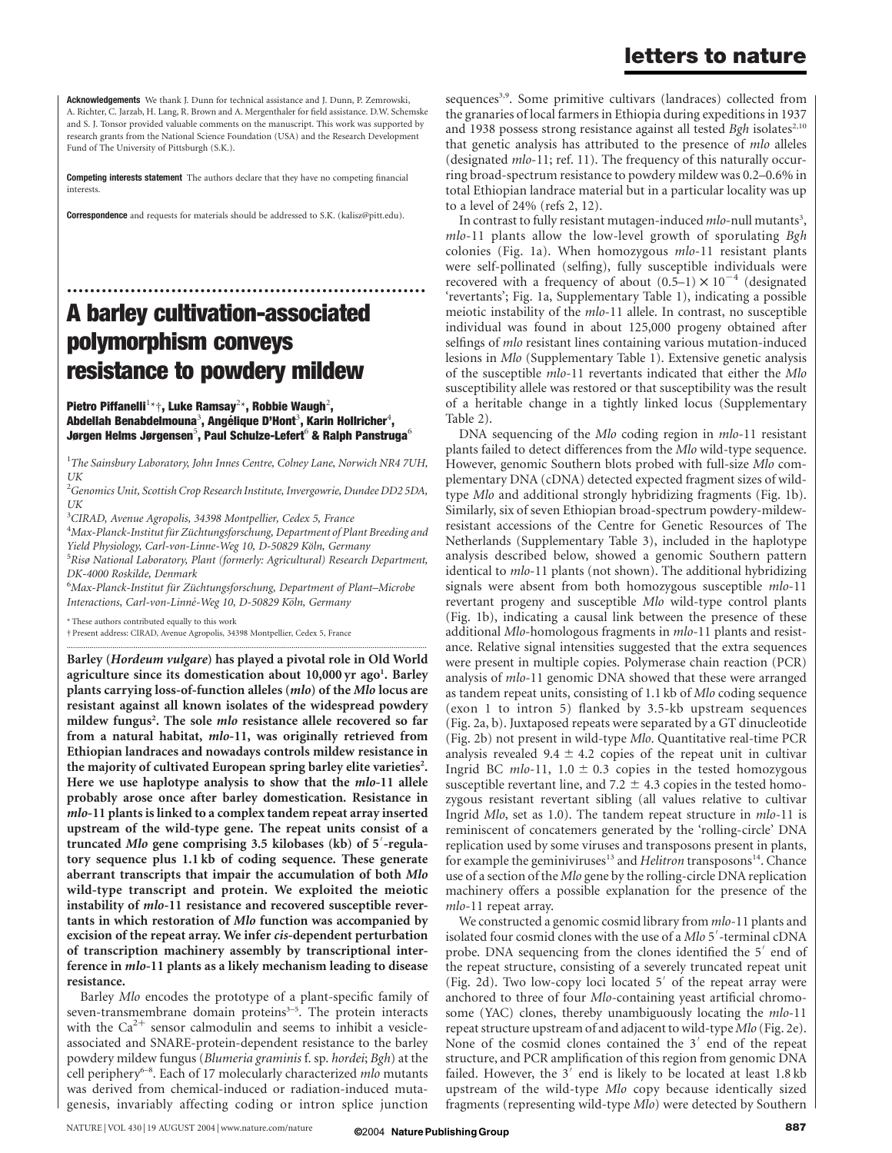Acknowledgements We thank J. Dunn for technical assistance and J. Dunn, P. Zemrowski, A. Richter, C. Jarzab, H. Lang, R. Brown and A. Mergenthaler for field assistance. D.W. Schemske and S. J. Tonsor provided valuable comments on the manuscript. This work was supported by research grants from the National Science Foundation (USA) and the Research Development Fund of The University of Pittsburgh (S.K.).

Competing interests statement The authors declare that they have no competing financial interests.

Correspondence and requests for materials should be addressed to S.K. (kalisz@pitt.edu).

..............................................................

# A barley cultivation-associated polymorphism conveys resistance to powdery mildew

Pietro Piffanelli $^{1\star}{}^{\dagger}$ , Luke Ramsay $^{2\star}$ , Robbie Waugh $^2$ , Abdellah Benabdelmouna $^3$ , Angélique D'Hont $^3$ , Karin Hollricher $^4$ , Jørgen Helms Jørgensen $^5$ , Paul Schulze-Lefert $^6$  & Ralph Panstruga $^6$ 

 $^{1}$ The Sainsbury Laboratory, John Innes Centre, Colney Lane, Norwich NR4 7UH, UK

<sup>2</sup>Genomics Unit, Scottish Crop Research Institute, Invergowrie, Dundee DD2 5DA, UK

<sup>3</sup>CIRAD, Avenue Agropolis, 34398 Montpellier, Cedex 5, France

<sup>4</sup>Max-Planck-Institut für Züchtungsforschung, Department of Plant Breeding and Yield Physiology, Carl-von-Linne-Weg 10, D-50829 Köln, Germany

<sup>5</sup>Risø National Laboratory, Plant (formerly: Agricultural) Research Department, DK-4000 Roskilde, Denmark

<sup>6</sup>Max-Planck-Institut für Züchtungsforschung, Department of Plant–Microbe Interactions, Carl-von-Linné-Weg 10, D-50829 Köln, Germany

.............................................................................................................................................................................

\* These authors contributed equally to this work

† Present address: CIRAD, Avenue Agropolis, 34398 Montpellier, Cedex 5, France

Barley (Hordeum vulgare) has played a pivotal role in Old World agriculture since its domestication about 10,000 yr ago<sup>1</sup>. Barley plants carrying loss-of-function alleles (mlo) of the Mlo locus are resistant against all known isolates of the widespread powdery mildew fungus<sup>2</sup>. The sole *mlo* resistance allele recovered so far from a natural habitat, mlo-11, was originally retrieved from Ethiopian landraces and nowadays controls mildew resistance in the majority of cultivated European spring barley elite varieties<sup>2</sup>. Here we use haplotype analysis to show that the *mlo-11* allele probably arose once after barley domestication. Resistance in mlo-11 plants is linked to a complex tandem repeat array inserted upstream of the wild-type gene. The repeat units consist of a truncated Mlo gene comprising 3.5 kilobases (kb) of 5'-regulatory sequence plus 1.1 kb of coding sequence. These generate aberrant transcripts that impair the accumulation of both Mlo wild-type transcript and protein. We exploited the meiotic instability of mlo-11 resistance and recovered susceptible revertants in which restoration of Mlo function was accompanied by excision of the repeat array. We infer cis-dependent perturbation of transcription machinery assembly by transcriptional interference in mlo-11 plants as a likely mechanism leading to disease resistance.

Barley Mlo encodes the prototype of a plant-specific family of seven-transmembrane domain proteins<sup>3-5</sup>. The protein interacts with the  $Ca^{2+}$  sensor calmodulin and seems to inhibit a vesicleassociated and SNARE-protein-dependent resistance to the barley powdery mildew fungus (Blumeria graminis f. sp. hordei; Bgh) at the cell periphery<sup>6-8</sup>. Each of 17 molecularly characterized *mlo* mutants was derived from chemical-induced or radiation-induced mutagenesis, invariably affecting coding or intron splice junction

sequences<sup>3,9</sup>. Some primitive cultivars (landraces) collected from the granaries of local farmers in Ethiopia during expeditions in 1937 and 1938 possess strong resistance against all tested  $Bgh$  isolates<sup>2,10</sup> that genetic analysis has attributed to the presence of *mlo* alleles (designated *mlo-11; ref. 11)*. The frequency of this naturally occurring broad-spectrum resistance to powdery mildew was 0.2–0.6% in total Ethiopian landrace material but in a particular locality was up to a level of 24% (refs 2, 12).

In contrast to fully resistant mutagen-induced mlo-null mutants<sup>3</sup>, mlo-11 plants allow the low-level growth of sporulating Bgh colonies (Fig. 1a). When homozygous mlo-11 resistant plants were self-pollinated (selfing), fully susceptible individuals were recovered with a frequency of about  $(0.5-1) \times 10^{-4}$  (designated 'revertants'; Fig. 1a, Supplementary Table 1), indicating a possible meiotic instability of the mlo-11 allele. In contrast, no susceptible individual was found in about 125,000 progeny obtained after selfings of *mlo* resistant lines containing various mutation-induced lesions in Mlo (Supplementary Table 1). Extensive genetic analysis of the susceptible mlo-11 revertants indicated that either the Mlo susceptibility allele was restored or that susceptibility was the result of a heritable change in a tightly linked locus (Supplementary Table 2).

DNA sequencing of the Mlo coding region in mlo-11 resistant plants failed to detect differences from the Mlo wild-type sequence. However, genomic Southern blots probed with full-size Mlo complementary DNA (cDNA) detected expected fragment sizes of wildtype Mlo and additional strongly hybridizing fragments (Fig. 1b). Similarly, six of seven Ethiopian broad-spectrum powdery-mildewresistant accessions of the Centre for Genetic Resources of The Netherlands (Supplementary Table 3), included in the haplotype analysis described below, showed a genomic Southern pattern identical to mlo-11 plants (not shown). The additional hybridizing signals were absent from both homozygous susceptible *mlo-*11 revertant progeny and susceptible Mlo wild-type control plants (Fig. 1b), indicating a causal link between the presence of these additional Mlo-homologous fragments in *mlo*-11 plants and resistance. Relative signal intensities suggested that the extra sequences were present in multiple copies. Polymerase chain reaction (PCR) analysis of mlo-11 genomic DNA showed that these were arranged as tandem repeat units, consisting of 1.1 kb of Mlo coding sequence (exon 1 to intron 5) flanked by 3.5-kb upstream sequences (Fig. 2a, b). Juxtaposed repeats were separated by a GT dinucleotide (Fig. 2b) not present in wild-type Mlo. Quantitative real-time PCR analysis revealed 9.4  $\pm$  4.2 copies of the repeat unit in cultivar Ingrid BC mlo-11,  $1.0 \pm 0.3$  copies in the tested homozygous susceptible revertant line, and 7.2  $\pm$  4.3 copies in the tested homozygous resistant revertant sibling (all values relative to cultivar Ingrid Mlo, set as 1.0). The tandem repeat structure in mlo-11 is reminiscent of concatemers generated by the 'rolling-circle' DNA replication used by some viruses and transposons present in plants, for example the geminiviruses<sup>13</sup> and *Helitron* transposons<sup>14</sup>. Chance use of a section of the Mlo gene by the rolling-circle DNA replication machinery offers a possible explanation for the presence of the mlo-11 repeat array.

We constructed a genomic cosmid library from mlo-11 plants and isolated four cosmid clones with the use of a Mlo 5'-terminal cDNA probe. DNA sequencing from the clones identified the  $5'$  end of the repeat structure, consisting of a severely truncated repeat unit (Fig. 2d). Two low-copy loci located  $5'$  of the repeat array were anchored to three of four Mlo-containing yeast artificial chromosome (YAC) clones, thereby unambiguously locating the *mlo-11* repeat structure upstream of and adjacent to wild-type Mlo (Fig. 2e). None of the cosmid clones contained the  $3'$  end of the repeat structure, and PCR amplification of this region from genomic DNA failed. However, the  $3'$  end is likely to be located at least  $1.8 \text{ kb}$ upstream of the wild-type Mlo copy because identically sized fragments (representing wild-type Mlo) were detected by Southern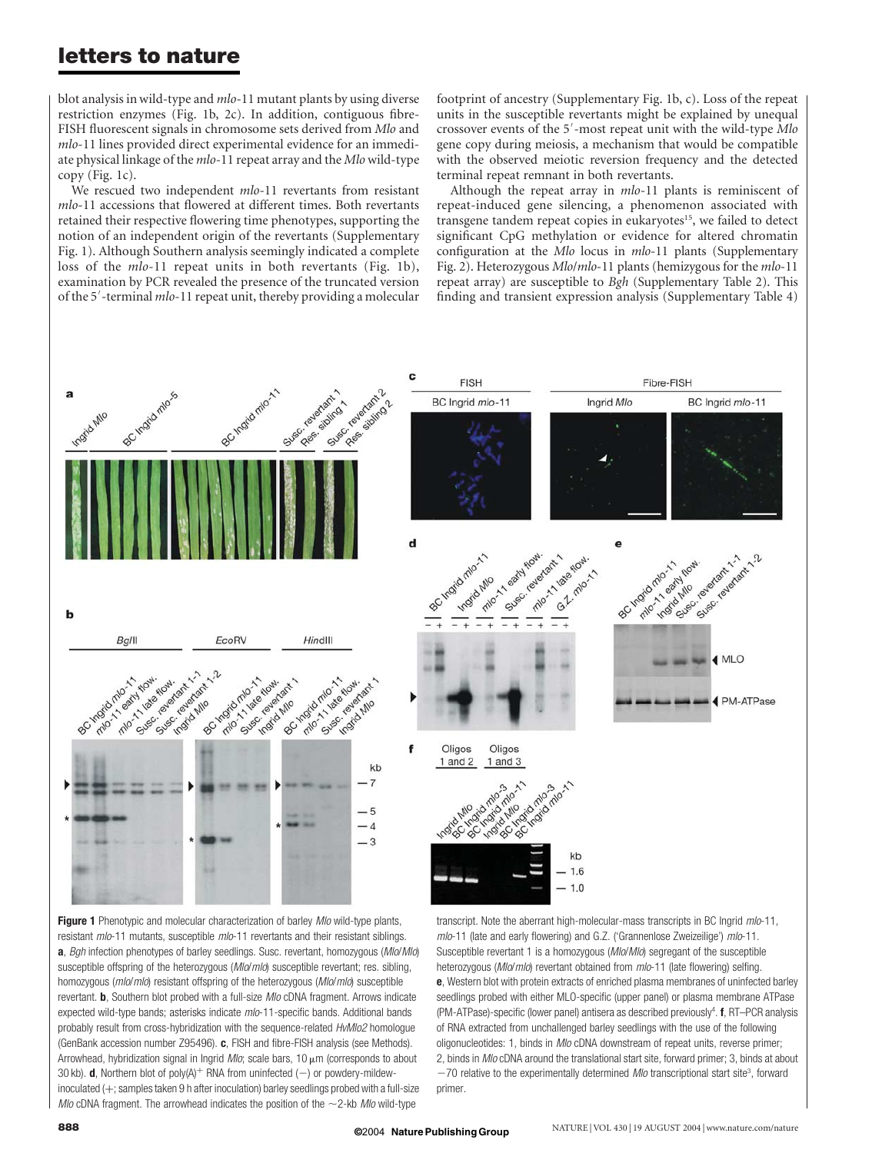# letters to nature

blot analysis in wild-type and *mlo*-11 mutant plants by using diverse restriction enzymes (Fig. 1b, 2c). In addition, contiguous fibre-FISH fluorescent signals in chromosome sets derived from Mlo and mlo-11 lines provided direct experimental evidence for an immediate physical linkage of the mlo-11 repeat array and the Mlo wild-type copy (Fig. 1c).

We rescued two independent mlo-11 revertants from resistant mlo-11 accessions that flowered at different times. Both revertants retained their respective flowering time phenotypes, supporting the notion of an independent origin of the revertants (Supplementary Fig. 1). Although Southern analysis seemingly indicated a complete loss of the mlo-11 repeat units in both revertants (Fig. 1b), examination by PCR revealed the presence of the truncated version of the 5'-terminal mlo-11 repeat unit, thereby providing a molecular

footprint of ancestry (Supplementary Fig. 1b, c). Loss of the repeat units in the susceptible revertants might be explained by unequal crossover events of the 5'-most repeat unit with the wild-type Mlo gene copy during meiosis, a mechanism that would be compatible with the observed meiotic reversion frequency and the detected terminal repeat remnant in both revertants.

Although the repeat array in *mlo-11* plants is reminiscent of repeat-induced gene silencing, a phenomenon associated with transgene tandem repeat copies in eukaryotes<sup>15</sup>, we failed to detect significant CpG methylation or evidence for altered chromatin configuration at the Mlo locus in mlo-11 plants (Supplementary Fig. 2). Heterozygous Mlo/mlo-11 plants (hemizygous for the mlo-11 repeat array) are susceptible to Bgh (Supplementary Table 2). This finding and transient expression analysis (Supplementary Table 4)



Figure 1 Phenotypic and molecular characterization of barley Mlo wild-type plants, resistant mlo-11 mutants, susceptible mlo-11 revertants and their resistant siblings. a, Bgh infection phenotypes of barley seedlings. Susc. revertant, homozygous (Mlo/Mlo) susceptible offspring of the heterozygous (Mlo/mlo) susceptible revertant; res. sibling, homozygous (mlo/mlo) resistant offspring of the heterozygous (Mlo/mlo) susceptible revertant. **b**, Southern blot probed with a full-size *MIo* cDNA fragment. Arrows indicate expected wild-type bands; asterisks indicate mlo-11-specific bands. Additional bands probably result from cross-hybridization with the sequence-related HvMlo2 homologue (GenBank accession number Z95496). c, FISH and fibre-FISH analysis (see Methods). Arrowhead, hybridization signal in Ingrid  $Mlo$ ; scale bars, 10  $\mu$ m (corresponds to about 30 kb). d, Northern blot of poly(A)<sup>+</sup> RNA from uninfected (-) or powdery-mildewinoculated  $(+)$ ; samples taken 9 h after inoculation) barley seedlings probed with a full-size Mlo cDNA fragment. The arrowhead indicates the position of the  $\sim$ 2-kb Mlo wild-type

transcript. Note the aberrant high-molecular-mass transcripts in BC Ingrid mlo-11, mlo-11 (late and early flowering) and G.Z. ('Grannenlose Zweizeilige') mlo-11. Susceptible revertant 1 is a homozygous (Mlo/Mlo) segregant of the susceptible heterozygous (Mlo/mlo) revertant obtained from mlo-11 (late flowering) selfing. e, Western blot with protein extracts of enriched plasma membranes of uninfected barley seedlings probed with either MLO-specific (upper panel) or plasma membrane ATPase (PM-ATPase)-specific (lower panel) antisera as described previously<sup>4</sup>. f, RT-PCR analysis of RNA extracted from unchallenged barley seedlings with the use of the following oligonucleotides: 1, binds in Mlo cDNA downstream of repeat units, reverse primer; 2, binds in Mlo cDNA around the translational start site, forward primer; 3, binds at about  $-70$  relative to the experimentally determined *Mlo* transcriptional start site<sup>3</sup>, forward primer.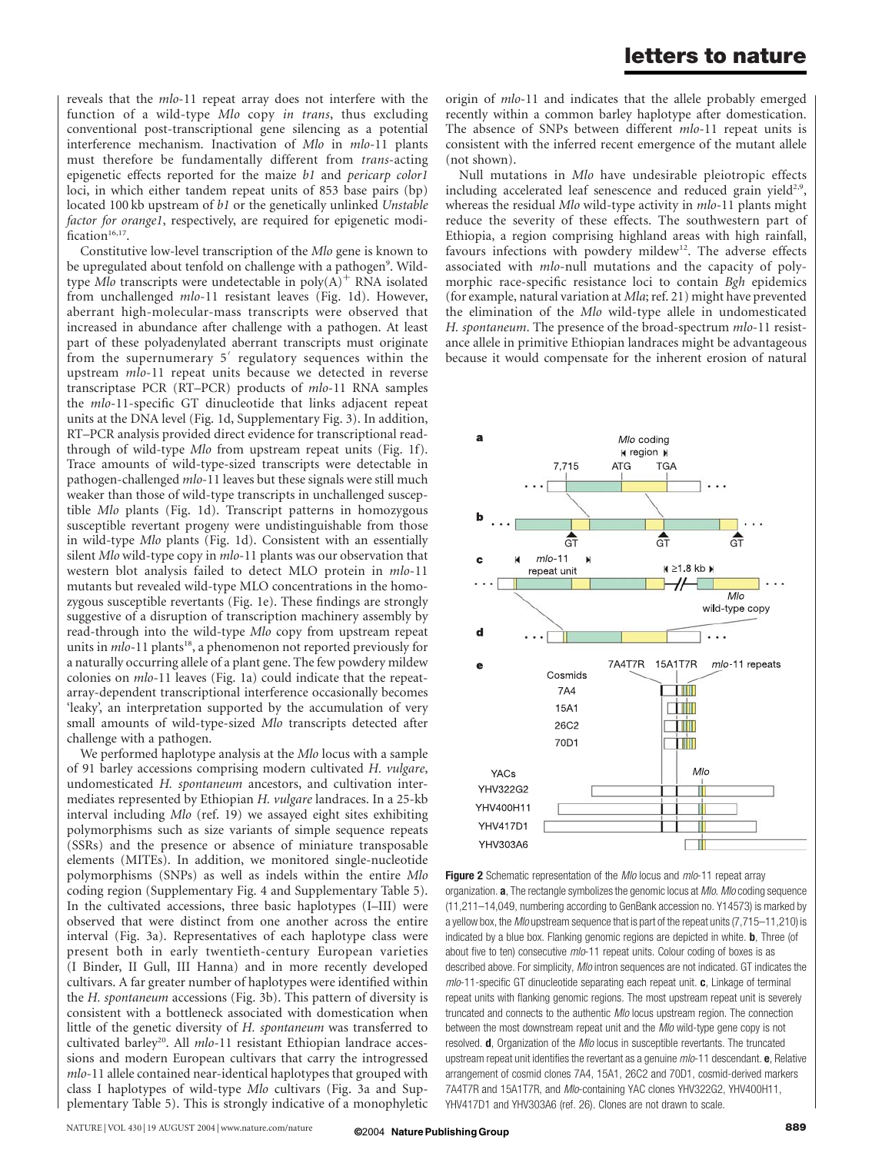reveals that the mlo-11 repeat array does not interfere with the function of a wild-type Mlo copy in trans, thus excluding conventional post-transcriptional gene silencing as a potential interference mechanism. Inactivation of Mlo in mlo-11 plants must therefore be fundamentally different from trans-acting epigenetic effects reported for the maize b1 and pericarp color1 loci, in which either tandem repeat units of 853 base pairs (bp) located 100 kb upstream of b1 or the genetically unlinked Unstable factor for orange1, respectively, are required for epigenetic modification $16,17$ .

Constitutive low-level transcription of the Mlo gene is known to be upregulated about tenfold on challenge with a pathogen<sup>9</sup>. Wildtype Mlo transcripts were undetectable in  $poly(A)^+$  RNA isolated from unchallenged mlo-11 resistant leaves (Fig. 1d). However, aberrant high-molecular-mass transcripts were observed that increased in abundance after challenge with a pathogen. At least part of these polyadenylated aberrant transcripts must originate from the supernumerary  $5'$  regulatory sequences within the upstream mlo-11 repeat units because we detected in reverse transcriptase PCR (RT–PCR) products of mlo-11 RNA samples the mlo-11-specific GT dinucleotide that links adjacent repeat units at the DNA level (Fig. 1d, Supplementary Fig. 3). In addition, RT–PCR analysis provided direct evidence for transcriptional readthrough of wild-type Mlo from upstream repeat units (Fig. 1f). Trace amounts of wild-type-sized transcripts were detectable in pathogen-challenged mlo-11 leaves but these signals were still much weaker than those of wild-type transcripts in unchallenged susceptible Mlo plants (Fig. 1d). Transcript patterns in homozygous susceptible revertant progeny were undistinguishable from those in wild-type Mlo plants (Fig. 1d). Consistent with an essentially silent Mlo wild-type copy in *mlo*-11 plants was our observation that western blot analysis failed to detect MLO protein in mlo-11 mutants but revealed wild-type MLO concentrations in the homozygous susceptible revertants (Fig. 1e). These findings are strongly suggestive of a disruption of transcription machinery assembly by read-through into the wild-type Mlo copy from upstream repeat units in  $mlo-11$  plants<sup>18</sup>, a phenomenon not reported previously for a naturally occurring allele of a plant gene. The few powdery mildew colonies on mlo-11 leaves (Fig. 1a) could indicate that the repeatarray-dependent transcriptional interference occasionally becomes 'leaky', an interpretation supported by the accumulation of very small amounts of wild-type-sized Mlo transcripts detected after challenge with a pathogen.

We performed haplotype analysis at the Mlo locus with a sample of 91 barley accessions comprising modern cultivated H. vulgare, undomesticated H. spontaneum ancestors, and cultivation intermediates represented by Ethiopian H. vulgare landraces. In a 25-kb interval including Mlo (ref. 19) we assayed eight sites exhibiting polymorphisms such as size variants of simple sequence repeats (SSRs) and the presence or absence of miniature transposable elements (MITEs). In addition, we monitored single-nucleotide polymorphisms (SNPs) as well as indels within the entire Mlo coding region (Supplementary Fig. 4 and Supplementary Table 5). In the cultivated accessions, three basic haplotypes (I–III) were observed that were distinct from one another across the entire interval (Fig. 3a). Representatives of each haplotype class were present both in early twentieth-century European varieties (I Binder, II Gull, III Hanna) and in more recently developed cultivars. A far greater number of haplotypes were identified within the H. spontaneum accessions (Fig. 3b). This pattern of diversity is consistent with a bottleneck associated with domestication when little of the genetic diversity of H. spontaneum was transferred to cultivated barley<sup>20</sup>. All  $mlo-11$  resistant Ethiopian landrace accessions and modern European cultivars that carry the introgressed mlo-11 allele contained near-identical haplotypes that grouped with class I haplotypes of wild-type Mlo cultivars (Fig. 3a and Supplementary Table 5). This is strongly indicative of a monophyletic origin of mlo-11 and indicates that the allele probably emerged recently within a common barley haplotype after domestication. The absence of SNPs between different *mlo-11* repeat units is consistent with the inferred recent emergence of the mutant allele (not shown).

Null mutations in Mlo have undesirable pleiotropic effects including accelerated leaf senescence and reduced grain yield<sup>2,9</sup>, whereas the residual Mlo wild-type activity in mlo-11 plants might reduce the severity of these effects. The southwestern part of Ethiopia, a region comprising highland areas with high rainfall, favours infections with powdery mildew<sup>12</sup>. The adverse effects associated with mlo-null mutations and the capacity of polymorphic race-specific resistance loci to contain Bgh epidemics (for example, natural variation at Mla; ref. 21) might have prevented the elimination of the Mlo wild-type allele in undomesticated H. spontaneum. The presence of the broad-spectrum mlo-11 resistance allele in primitive Ethiopian landraces might be advantageous because it would compensate for the inherent erosion of natural



Figure 2 Schematic representation of the Mlo locus and mlo-11 repeat array organization. **a**, The rectangle symbolizes the genomic locus at *Mlo. Mlo* coding sequence (11,211–14,049, numbering according to GenBank accession no. Y14573) is marked by a yellow box, the Mlo upstream sequence that is part of the repeat units (7,715–11,210) is indicated by a blue box. Flanking genomic regions are depicted in white. **b**, Three (of about five to ten) consecutive mlo-11 repeat units. Colour coding of boxes is as described above. For simplicity, Mlo intron sequences are not indicated. GT indicates the  $mlo$ -11-specific GT dinucleotide separating each repeat unit.  $c$ , Linkage of terminal repeat units with flanking genomic regions. The most upstream repeat unit is severely truncated and connects to the authentic Mlo locus upstream region. The connection between the most downstream repeat unit and the Mlo wild-type gene copy is not resolved. **d**, Organization of the *Mlo* locus in susceptible revertants. The truncated upstream repeat unit identifies the revertant as a genuine  $mlo$ -11 descendant.  $e$ , Relative arrangement of cosmid clones 7A4, 15A1, 26C2 and 70D1, cosmid-derived markers 7A4T7R and 15A1T7R, and Mlo-containing YAC clones YHV322G2, YHV400H11, YHV417D1 and YHV303A6 (ref. 26). Clones are not drawn to scale.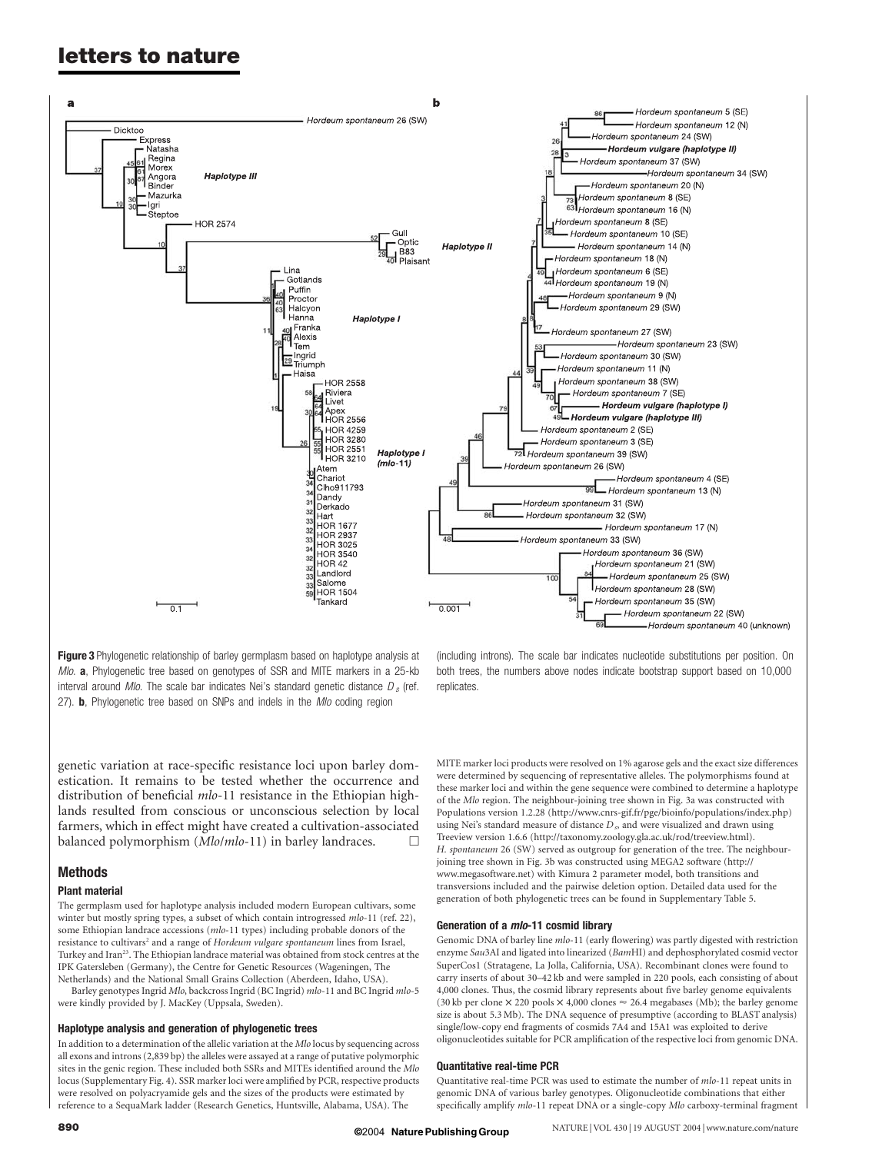# letters to nature



Figure 3 Phylogenetic relationship of barley germplasm based on haplotype analysis at Mlo. a, Phylogenetic tree based on genotypes of SSR and MITE markers in a 25-kb interval around *Mlo*. The scale bar indicates Nei's standard genetic distance  $D_s$  (ref. 27). **b**, Phylogenetic tree based on SNPs and indels in the *Mlo* coding region

genetic variation at race-specific resistance loci upon barley domestication. It remains to be tested whether the occurrence and distribution of beneficial *mlo*-11 resistance in the Ethiopian highlands resulted from conscious or unconscious selection by local farmers, which in effect might have created a cultivation-associated balanced polymorphism (Mlo/mlo-11) in barley landraces.

# Methods

### Plant material

The germplasm used for haplotype analysis included modern European cultivars, some winter but mostly spring types, a subset of which contain introgressed mlo-11 (ref. 22), some Ethiopian landrace accessions (mlo-11 types) including probable donors of the resistance to cultivars<sup>2</sup> and a range of Hordeum vulgare spontaneum lines from Israel, Turkey and Iran<sup>23</sup>. The Ethiopian landrace material was obtained from stock centres at the IPK Gatersleben (Germany), the Centre for Genetic Resources (Wageningen, The Netherlands) and the National Small Grains Collection (Aberdeen, Idaho, USA).

Barley genotypes Ingrid Mlo, backcross Ingrid (BC Ingrid) mlo-11 and BC Ingrid mlo-5 were kindly provided by J. MacKey (Uppsala, Sweden).

### Haplotype analysis and generation of phylogenetic trees

In addition to a determination of the allelic variation at the Mlo locus by sequencing across all exons and introns (2,839 bp) the alleles were assayed at a range of putative polymorphic sites in the genic region. These included both SSRs and MITEs identified around the Mlo locus (Supplementary Fig. 4). SSR marker loci were amplified by PCR, respective products were resolved on polyacryamide gels and the sizes of the products were estimated by reference to a SequaMark ladder (Research Genetics, Huntsville, Alabama, USA). The

(including introns). The scale bar indicates nucleotide substitutions per position. On both trees, the numbers above nodes indicate bootstrap support based on 10,000 replicates.

MITE marker loci products were resolved on 1% agarose gels and the exact size differences were determined by sequencing of representative alleles. The polymorphisms found at these marker loci and within the gene sequence were combined to determine a haplotype of the Mlo region. The neighbour-joining tree shown in Fig. 3a was constructed with Populations version 1.2.28 (http://www.cnrs-gif.fr/pge/bioinfo/populations/index.php) using Nei's standard measure of distance  $D_s$ , and were visualized and drawn using Treeview version 1.6.6 (http://taxonomy.zoology.gla.ac.uk/rod/treeview.html). H. spontaneum 26 (SW) served as outgroup for generation of the tree. The neighbourjoining tree shown in Fig. 3b was constructed using MEGA2 software (http:// www.megasoftware.net) with Kimura 2 parameter model, both transitions and transversions included and the pairwise deletion option. Detailed data used for the generation of both phylogenetic trees can be found in Supplementary Table 5.

## Generation of a mlo-11 cosmid library

Genomic DNA of barley line mlo-11 (early flowering) was partly digested with restriction enzyme Sau3AI and ligated into linearized (BamHI) and dephosphorylated cosmid vector SuperCos1 (Stratagene, La Jolla, California, USA). Recombinant clones were found to carry inserts of about 30–42 kb and were sampled in 220 pools, each consisting of about 4,000 clones. Thus, the cosmid library represents about five barley genome equivalents (30 kb per clone  $\times$  220 pools  $\times$  4,000 clones  $\approx$  26.4 megabases (Mb); the barley genome size is about 5.3 Mb). The DNA sequence of presumptive (according to BLAST analysis) single/low-copy end fragments of cosmids 7A4 and 15A1 was exploited to derive oligonucleotides suitable for PCR amplification of the respective loci from genomic DNA.

### Quantitative real-time PCR

Quantitative real-time PCR was used to estimate the number of mlo-11 repeat units in genomic DNA of various barley genotypes. Oligonucleotide combinations that either specifically amplify mlo-11 repeat DNA or a single-copy Mlo carboxy-terminal fragment